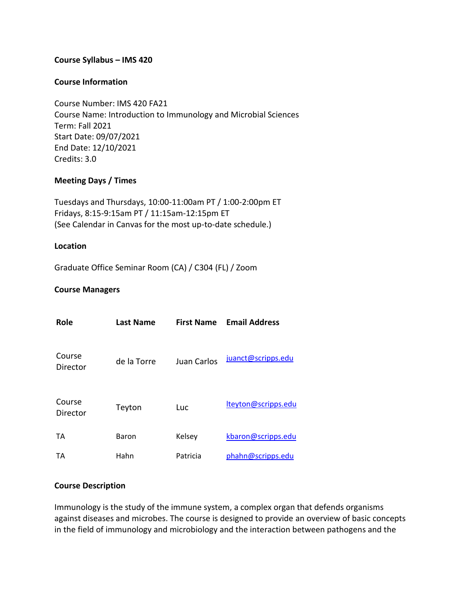### **Course Syllabus – IMS 420**

#### **Course Information**

Course Number: IMS 420 FA21 Course Name: Introduction to Immunology and Microbial Sciences Term: Fall 2021 Start Date: 09/07/2021 End Date: 12/10/2021 Credits: 3.0

### **Meeting Days / Times**

Tuesdays and Thursdays, 10:00-11:00am PT / 1:00-2:00pm ET Fridays, 8:15-9:15am PT / 11:15am-12:15pm ET (See Calendar in Canvas for the most up-to-date schedule.)

#### **Location**

Graduate Office Seminar Room (CA) / C304 (FL) / Zoom

### **Course Managers**

| Role               | Last Name   | <b>First Name</b> | <b>Email Address</b> |
|--------------------|-------------|-------------------|----------------------|
| Course<br>Director | de la Torre | Juan Carlos       | juanct@scripps.edu   |
| Course<br>Director | Teyton      | Luc               | lteyton@scripps.edu  |
| TA                 | Baron       | Kelsey            | kbaron@scripps.edu   |
| ТA                 | Hahn        | Patricia          | phahn@scripps.edu    |

#### **Course Description**

Immunology is the study of the immune system, a complex organ that defends organisms against diseases and microbes. The course is designed to provide an overview of basic concepts in the field of immunology and microbiology and the interaction between pathogens and the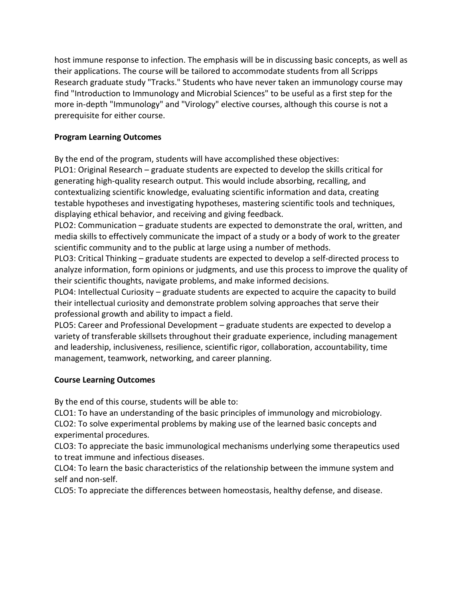host immune response to infection. The emphasis will be in discussing basic concepts, as well as their applications. The course will be tailored to accommodate students from all Scripps Research graduate study "Tracks." Students who have never taken an immunology course may find "Introduction to Immunology and Microbial Sciences" to be useful as a first step for the more in-depth "Immunology" and "Virology" elective courses, although this course is not a prerequisite for either course.

# **Program Learning Outcomes**

By the end of the program, students will have accomplished these objectives:

PLO1: Original Research – graduate students are expected to develop the skills critical for generating high-quality research output. This would include absorbing, recalling, and contextualizing scientific knowledge, evaluating scientific information and data, creating testable hypotheses and investigating hypotheses, mastering scientific tools and techniques, displaying ethical behavior, and receiving and giving feedback.

PLO2: Communication – graduate students are expected to demonstrate the oral, written, and media skills to effectively communicate the impact of a study or a body of work to the greater scientific community and to the public at large using a number of methods.

PLO3: Critical Thinking – graduate students are expected to develop a self-directed process to analyze information, form opinions or judgments, and use this process to improve the quality of their scientific thoughts, navigate problems, and make informed decisions.

PLO4: Intellectual Curiosity – graduate students are expected to acquire the capacity to build their intellectual curiosity and demonstrate problem solving approaches that serve their professional growth and ability to impact a field.

PLO5: Career and Professional Development – graduate students are expected to develop a variety of transferable skillsets throughout their graduate experience, including management and leadership, inclusiveness, resilience, scientific rigor, collaboration, accountability, time management, teamwork, networking, and career planning.

## **Course Learning Outcomes**

By the end of this course, students will be able to:

CLO1: To have an understanding of the basic principles of immunology and microbiology. CLO2: To solve experimental problems by making use of the learned basic concepts and experimental procedures.

CLO3: To appreciate the basic immunological mechanisms underlying some therapeutics used to treat immune and infectious diseases.

CLO4: To learn the basic characteristics of the relationship between the immune system and self and non-self.

CLO5: To appreciate the differences between homeostasis, healthy defense, and disease.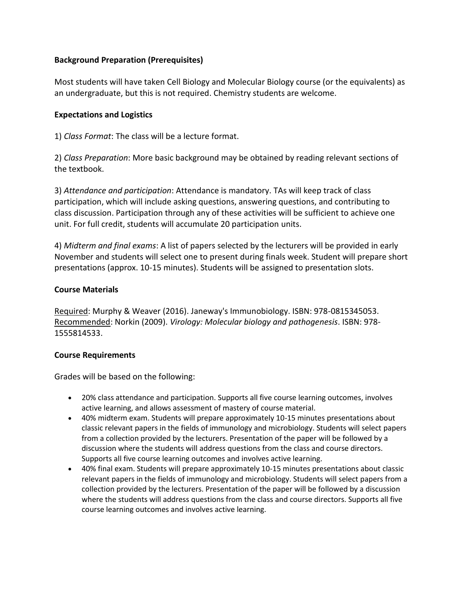### **Background Preparation (Prerequisites)**

Most students will have taken Cell Biology and Molecular Biology course (or the equivalents) as an undergraduate, but this is not required. Chemistry students are welcome.

### **Expectations and Logistics**

1) *Class Format*: The class will be a lecture format.

2) *Class Preparation*: More basic background may be obtained by reading relevant sections of the textbook.

3) *Attendance and participation*: Attendance is mandatory. TAs will keep track of class participation, which will include asking questions, answering questions, and contributing to class discussion. Participation through any of these activities will be sufficient to achieve one unit. For full credit, students will accumulate 20 participation units.

4) *Midterm and final exams*: A list of papers selected by the lecturers will be provided in early November and students will select one to present during finals week. Student will prepare short presentations (approx. 10-15 minutes). Students will be assigned to presentation slots.

### **Course Materials**

Required: Murphy & Weaver (2016). Janeway's Immunobiology. ISBN: 978-0815345053. Recommended: Norkin (2009). *Virology: Molecular biology and pathogenesis*. ISBN: 978- 1555814533.

### **Course Requirements**

Grades will be based on the following:

- 20% class attendance and participation. Supports all five course learning outcomes, involves active learning, and allows assessment of mastery of course material.
- 40% midterm exam. Students will prepare approximately 10-15 minutes presentations about classic relevant papers in the fields of immunology and microbiology. Students will select papers from a collection provided by the lecturers. Presentation of the paper will be followed by a discussion where the students will address questions from the class and course directors. Supports all five course learning outcomes and involves active learning.
- 40% final exam. Students will prepare approximately 10-15 minutes presentations about classic relevant papers in the fields of immunology and microbiology. Students will select papers from a collection provided by the lecturers. Presentation of the paper will be followed by a discussion where the students will address questions from the class and course directors. Supports all five course learning outcomes and involves active learning.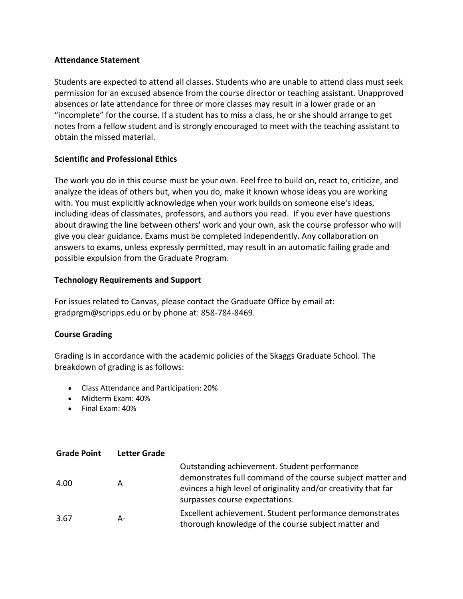### **Attendance Statement**

Students are expected to attend all classes. Students who are unable to attend class must seek permission for an excused absence from the course director or teaching assistant. Unapproved absences or late attendance for three or more classes may result in a lower grade or an "incomplete" for the course. If a student has to miss a class, he or she should arrange to get notes from a fellow student and is strongly encouraged to meet with the teaching assistant to obtain the missed material.

## **Scientific and Professional Ethics**

The work you do in this course must be your own. Feel free to build on, react to, criticize, and analyze the ideas of others but, when you do, make it known whose ideas you are working with. You must explicitly acknowledge when your work builds on someone else's ideas, including ideas of classmates, professors, and authors you read. If you ever have questions about drawing the line between others' work and your own, ask the course professor who will give you clear guidance. Exams must be completed independently. Any collaboration on answers to exams, unless expressly permitted, may result in an automatic failing grade and possible expulsion from the Graduate Program.

### **Technology Requirements and Support**

For issues related to Canvas, please contact the Graduate Office by email at: gradprgm@scripps.edu or by phone at: 858-784-8469.

## **Course Grading**

Grading is in accordance with the academic policies of the Skaggs Graduate School. The breakdown of grading is as follows:

- Class Attendance and Participation: 20%
- Midterm Exam: 40%
- Final Exam: 40%

| <b>Grade Point</b> | <b>Letter Grade</b> |                                                                                                                                                                                                                |
|--------------------|---------------------|----------------------------------------------------------------------------------------------------------------------------------------------------------------------------------------------------------------|
| 4.00               | A                   | Outstanding achievement. Student performance<br>demonstrates full command of the course subject matter and<br>evinces a high level of originality and/or creativity that far<br>surpasses course expectations. |
| 3.67               | А-                  | Excellent achievement. Student performance demonstrates<br>thorough knowledge of the course subject matter and                                                                                                 |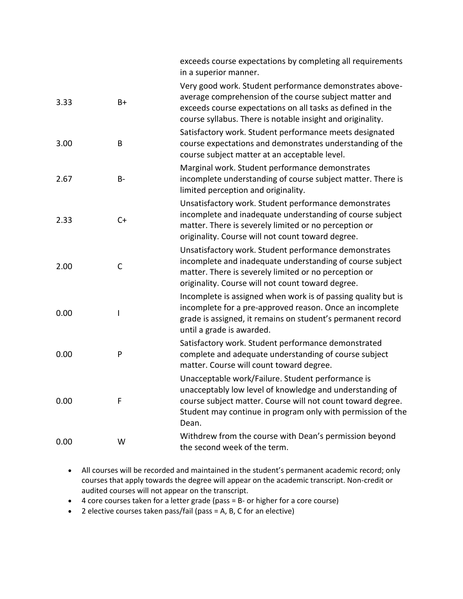exceeds course expectations by completing all requirements in a superior manner.

| 3.33 | $B+$         | Very good work. Student performance demonstrates above-<br>average comprehension of the course subject matter and<br>exceeds course expectations on all tasks as defined in the<br>course syllabus. There is notable insight and originality.        |
|------|--------------|------------------------------------------------------------------------------------------------------------------------------------------------------------------------------------------------------------------------------------------------------|
| 3.00 | B            | Satisfactory work. Student performance meets designated<br>course expectations and demonstrates understanding of the<br>course subject matter at an acceptable level.                                                                                |
| 2.67 | B-           | Marginal work. Student performance demonstrates<br>incomplete understanding of course subject matter. There is<br>limited perception and originality.                                                                                                |
| 2.33 | $C+$         | Unsatisfactory work. Student performance demonstrates<br>incomplete and inadequate understanding of course subject<br>matter. There is severely limited or no perception or<br>originality. Course will not count toward degree.                     |
| 2.00 | $\mathsf{C}$ | Unsatisfactory work. Student performance demonstrates<br>incomplete and inadequate understanding of course subject<br>matter. There is severely limited or no perception or<br>originality. Course will not count toward degree.                     |
| 0.00 | I            | Incomplete is assigned when work is of passing quality but is<br>incomplete for a pre-approved reason. Once an incomplete<br>grade is assigned, it remains on student's permanent record<br>until a grade is awarded.                                |
| 0.00 | P            | Satisfactory work. Student performance demonstrated<br>complete and adequate understanding of course subject<br>matter. Course will count toward degree.                                                                                             |
| 0.00 | F            | Unacceptable work/Failure. Student performance is<br>unacceptably low level of knowledge and understanding of<br>course subject matter. Course will not count toward degree.<br>Student may continue in program only with permission of the<br>Dean. |
| 0.00 | W            | Withdrew from the course with Dean's permission beyond<br>the second week of the term.                                                                                                                                                               |

- All courses will be recorded and maintained in the student's permanent academic record; only courses that apply towards the degree will appear on the academic transcript. Non-credit or audited courses will not appear on the transcript.
- 4 core courses taken for a letter grade (pass = B- or higher for a core course)
- 2 elective courses taken pass/fail (pass = A, B, C for an elective)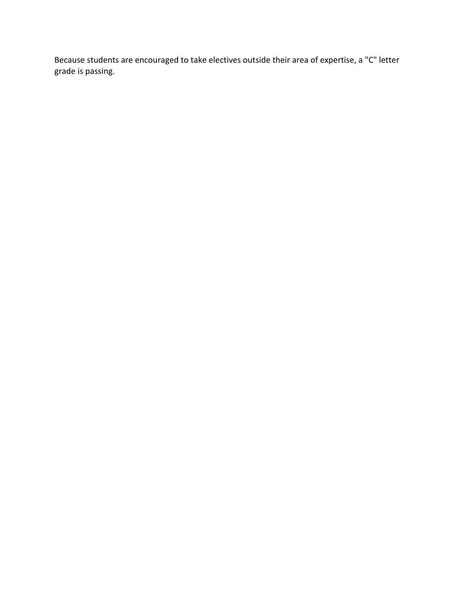Because students are encouraged to take electives outside their area of expertise, a "C" letter grade is passing.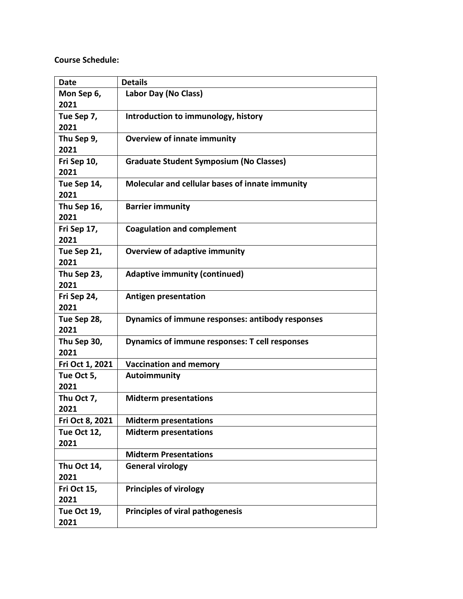# **Course Schedule:**

| <b>Date</b>        | <b>Details</b>                                   |
|--------------------|--------------------------------------------------|
| Mon Sep 6,         | Labor Day (No Class)                             |
| 2021               |                                                  |
| Tue Sep 7,         | Introduction to immunology, history              |
| 2021               |                                                  |
| Thu Sep 9,         | <b>Overview of innate immunity</b>               |
| 2021               |                                                  |
| Fri Sep 10,        | <b>Graduate Student Symposium (No Classes)</b>   |
| 2021               |                                                  |
| Tue Sep 14,        | Molecular and cellular bases of innate immunity  |
| 2021               |                                                  |
| Thu Sep 16,        | <b>Barrier immunity</b>                          |
| 2021               |                                                  |
| Fri Sep 17,        | <b>Coagulation and complement</b>                |
| 2021               |                                                  |
| Tue Sep 21,        | <b>Overview of adaptive immunity</b>             |
| 2021               |                                                  |
| Thu Sep 23,        | <b>Adaptive immunity (continued)</b>             |
| 2021               |                                                  |
| Fri Sep 24,        | <b>Antigen presentation</b>                      |
| 2021               |                                                  |
| Tue Sep 28,        | Dynamics of immune responses: antibody responses |
| 2021               |                                                  |
| Thu Sep 30,        | Dynamics of immune responses: T cell responses   |
| 2021               |                                                  |
| Fri Oct 1, 2021    | <b>Vaccination and memory</b>                    |
| Tue Oct 5,         | Autoimmunity                                     |
| 2021               |                                                  |
| Thu Oct 7,         | <b>Midterm presentations</b>                     |
| 2021               |                                                  |
| Fri Oct 8, 2021    | <b>Midterm presentations</b>                     |
| Tue Oct 12,        | <b>Midterm presentations</b>                     |
| 2021               |                                                  |
|                    | <b>Midterm Presentations</b>                     |
| Thu Oct 14,        | <b>General virology</b>                          |
| 2021               |                                                  |
| Fri Oct 15,        | <b>Principles of virology</b>                    |
| 2021               |                                                  |
| <b>Tue Oct 19,</b> | <b>Principles of viral pathogenesis</b>          |
| 2021               |                                                  |